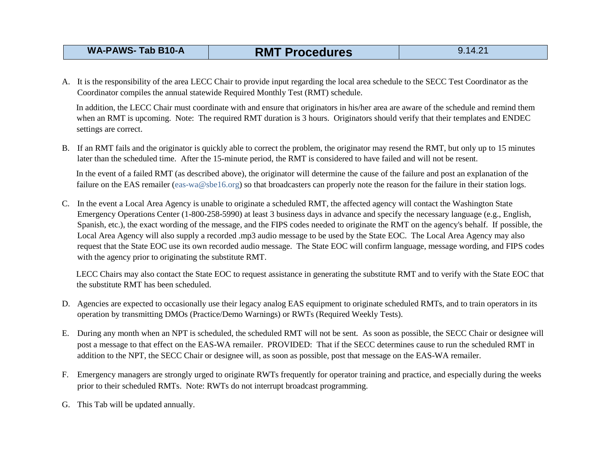## **WA-PAWS- Tab B10-A RMT Procedures** 9.14.21

A. It is the responsibility of the area LECC Chair to provide input regarding the local area schedule to the SECC Test Coordinator as the Coordinator compiles the annual statewide Required Monthly Test (RMT) schedule.

In addition, the LECC Chair must coordinate with and ensure that originators in his/her area are aware of the schedule and remind them when an RMT is upcoming. Note: The required RMT duration is 3 hours. Originators should verify that their templates and ENDEC settings are correct.

B. If an RMT fails and the originator is quickly able to correct the problem, the originator may resend the RMT, but only up to 15 minutes later than the scheduled time. After the 15-minute period, the RMT is considered to have failed and will not be resent.

In the event of a failed RMT (as described above), the originator will determine the cause of the failure and post an explanation of the failure on the EAS remailer (eas-wa@sbe16.org) so that broadcasters can properly note the reason for the failure in their station logs.

C. In the event a Local Area Agency is unable to originate a scheduled RMT, the affected agency will contact the Washington State Emergency Operations Center (1-800-258-5990) at least 3 business days in advance and specify the necessary language (e.g., English, Spanish, etc.), the exact wording of the message, and the FIPS codes needed to originate the RMT on the agency's behalf. If possible, the Local Area Agency will also supply a recorded .mp3 audio message to be used by the State EOC. The Local Area Agency may also request that the State EOC use its own recorded audio message. The State EOC will confirm language, message wording, and FIPS codes with the agency prior to originating the substitute RMT.

LECC Chairs may also contact the State EOC to request assistance in generating the substitute RMT and to verify with the State EOC that the substitute RMT has been scheduled.

- D. Agencies are expected to occasionally use their legacy analog EAS equipment to originate scheduled RMTs, and to train operators in its operation by transmitting DMOs (Practice/Demo Warnings) or RWTs (Required Weekly Tests).
- E. During any month when an NPT is scheduled, the scheduled RMT will not be sent. As soon as possible, the SECC Chair or designee will post a message to that effect on the EAS-WA remailer. PROVIDED: That if the SECC determines cause to run the scheduled RMT in addition to the NPT, the SECC Chair or designee will, as soon as possible, post that message on the EAS-WA remailer.
- F. Emergency managers are strongly urged to originate RWTs frequently for operator training and practice, and especially during the weeks prior to their scheduled RMTs. Note: RWTs do not interrupt broadcast programming.
- G. This Tab will be updated annually.